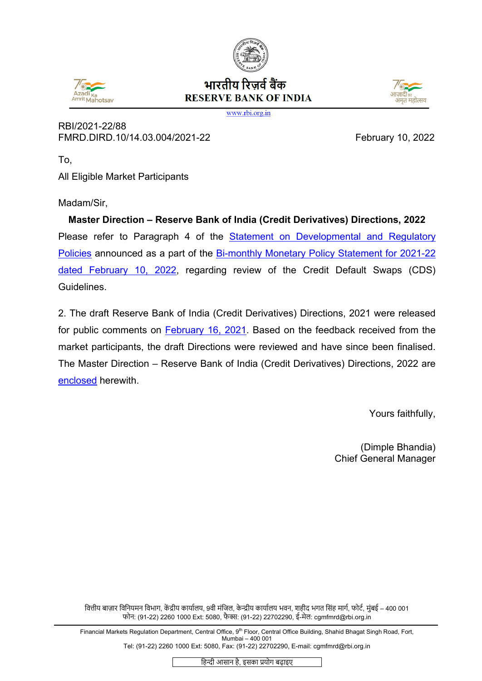





www.rbi.org.in

RBI/2021-22/88 FMRD.DIRD.10/14.03.004/2021-22 February 10, 2022

To,

All Eligible Market Participants

Madam/Sir,

**Master Direction – Reserve Bank of India (Credit Derivatives) Directions, 2022** Please refer to Paragraph 4 of the [Statement on Developmental and Regulatory](https://rbi.org.in/Scripts/BS_PressReleaseDisplay.aspx?prid=53248)  [Policies](https://rbi.org.in/Scripts/BS_PressReleaseDisplay.aspx?prid=53248) announced as a part of the [Bi-monthly Monetary Policy Statement for 2021-22](https://rbi.org.in/Scripts/BS_PressReleaseDisplay.aspx?prid=53247) [dated February](https://rbi.org.in/Scripts/BS_PressReleaseDisplay.aspx?prid=53247) 10, 2022, regarding review of the Credit Default Swaps (CDS) Guidelines.

2. The draft Reserve Bank of India (Credit Derivatives) Directions, 2021 were released for public comments on **February 16, 2021**. Based on the feedback received from the market participants, the draft Directions were reviewed and have since been finalised. The Master Direction – Reserve Bank of India (Credit Derivatives) Directions, 2022 are [enclosed](#page-1-0) herewith.

Yours faithfully,

(Dimple Bhandia) Chief General Manager

वित्तीय बाज़ार विनियमन विभाग, केंद्रीय कार्यालय, 9वी मंजिल, केन्द्रीय कार्यालय भवन, शहीद भगत सिंह मार्ग, फोर्ट, मुंबई – 400 001 फोन: (91-22) 2260 1000 Ext: 5080, फै �: (91-22) 22702290, ई-मेल: cgmfmrd@rbi.org.in

Financial Markets Regulation Department, Central Office, 9<sup>th</sup> Floor, Central Office Building, Shahid Bhagat Singh Road, Fort, Mumbai – 400 001 Tel: (91-22) 2260 1000 Ext: 5080, Fax: (91-22) 22702290, E-mail: cgmfmrd@rbi.org.in

हिन्दी आसान है, इसका प्रयोग बढ़ाइए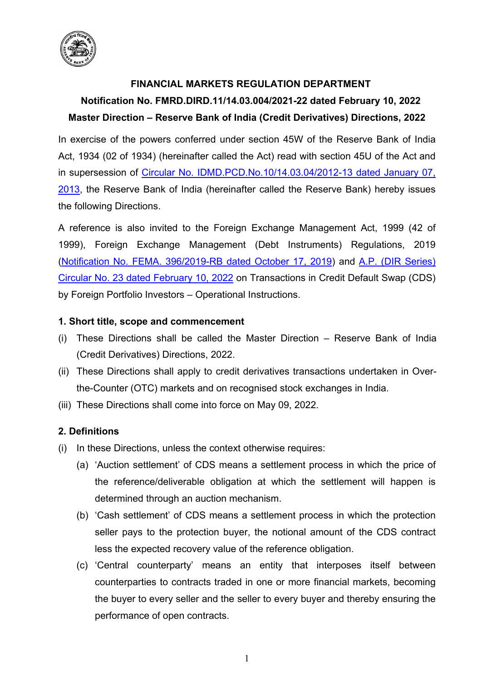

# **FINANCIAL MARKETS REGULATION DEPARTMENT**

# <span id="page-1-0"></span>**Notification No. FMRD.DIRD.11/14.03.004/2021-22 dated February 10, 2022 Master Direction – Reserve Bank of India (Credit Derivatives) Directions, 2022**

In exercise of the powers conferred under section 45W of the Reserve Bank of India Act, 1934 (02 of 1934) (hereinafter called the Act) read with section 45U of the Act and in supersession of Circular [No. IDMD.PCD.No.10/14.03.04/2012-13 dated January 07,](https://www.rbi.org.in/scripts/NotificationUser.aspx?Mode=0&Id=7793)  [2013,](https://www.rbi.org.in/scripts/NotificationUser.aspx?Mode=0&Id=7793) the Reserve Bank of India (hereinafter called the Reserve Bank) hereby issues the following Directions.

A reference is also invited to the Foreign Exchange Management Act, 1999 (42 of 1999), Foreign Exchange Management (Debt Instruments) Regulations, 2019 [\(Notification No. FEMA. 396/2019-RB dated October 17, 2019\)](https://www.rbi.org.in/Scripts/NotificationUser.aspx?Id=12099&Mode=0) and [A.P. \(DIR Series\)](https://www.rbi.org.in/Scripts/NotificationUser.aspx?Id=12227&Mode=0)  Circular No. 23 [dated February](https://www.rbi.org.in/Scripts/NotificationUser.aspx?Id=12227&Mode=0) 10, 2022 on Transactions in Credit Default Swap (CDS) by Foreign Portfolio Investors – Operational Instructions.

# **1. Short title, scope and commencement**

- (i) These Directions shall be called the Master Direction Reserve Bank of India (Credit Derivatives) Directions, 2022.
- (ii) These Directions shall apply to credit derivatives transactions undertaken in Overthe-Counter (OTC) markets and on recognised stock exchanges in India.
- (iii) These Directions shall come into force on May 09, 2022.

# **2. Definitions**

- (i) In these Directions, unless the context otherwise requires:
	- (a) 'Auction settlement' of CDS means a settlement process in which the price of the reference/deliverable obligation at which the settlement will happen is determined through an auction mechanism.
	- (b) 'Cash settlement' of CDS means a settlement process in which the protection seller pays to the protection buyer, the notional amount of the CDS contract less the expected recovery value of the reference obligation.
	- (c) 'Central counterparty' means an entity that interposes itself between counterparties to contracts traded in one or more financial markets, becoming the buyer to every seller and the seller to every buyer and thereby ensuring the performance of open contracts.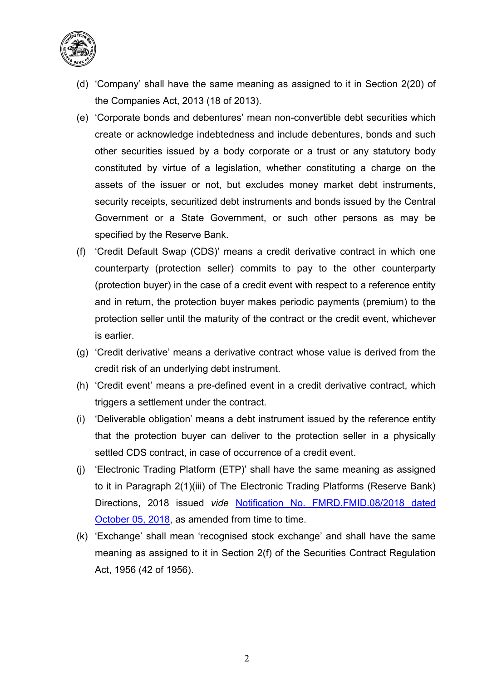

- (d) 'Company' shall have the same meaning as assigned to it in Section 2(20) of the Companies Act, 2013 (18 of 2013).
- (e) 'Corporate bonds and debentures' mean non-convertible debt securities which create or acknowledge indebtedness and include debentures, bonds and such other securities issued by a body corporate or a trust or any statutory body constituted by virtue of a legislation, whether constituting a charge on the assets of the issuer or not, but excludes money market debt instruments, security receipts, securitized debt instruments and bonds issued by the Central Government or a State Government, or such other persons as may be specified by the Reserve Bank.
- (f) 'Credit Default Swap (CDS)' means a credit derivative contract in which one counterparty (protection seller) commits to pay to the other counterparty (protection buyer) in the case of a credit event with respect to a reference entity and in return, the protection buyer makes periodic payments (premium) to the protection seller until the maturity of the contract or the credit event, whichever is earlier.
- (g) 'Credit derivative' means a derivative contract whose value is derived from the credit risk of an underlying debt instrument.
- (h) 'Credit event' means a pre-defined event in a credit derivative contract, which triggers a settlement under the contract.
- (i) 'Deliverable obligation' means a debt instrument issued by the reference entity that the protection buyer can deliver to the protection seller in a physically settled CDS contract, in case of occurrence of a credit event.
- (j) 'Electronic Trading Platform (ETP)' shall have the same meaning as assigned to it in Paragraph 2(1)(iii) of The Electronic Trading Platforms (Reserve Bank) Directions, 2018 issued *vide* Notification No. [FMRD.FMID.08/2018 dated](https://rbi.org.in/Scripts/NotificationUser.aspx?Id=11385&Mode=0#ANN)  [October 05, 2018,](https://rbi.org.in/Scripts/NotificationUser.aspx?Id=11385&Mode=0#ANN) as amended from time to time.
- (k) 'Exchange' shall mean 'recognised stock exchange' and shall have the same meaning as assigned to it in Section 2(f) of the Securities Contract Regulation Act, 1956 (42 of 1956).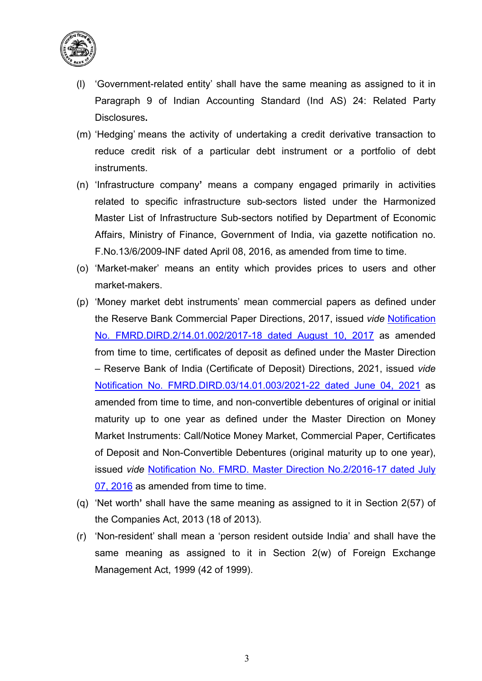

- (l) 'Government-related entity' shall have the same meaning as assigned to it in Paragraph 9 of Indian Accounting Standard (Ind AS) 24: Related Party Disclosures**.**
- (m) 'Hedging' means the activity of undertaking a credit derivative transaction to reduce credit risk of a particular debt instrument or a portfolio of debt instruments.
- (n) 'Infrastructure company**'** means a company engaged primarily in activities related to specific infrastructure sub-sectors listed under the Harmonized Master List of Infrastructure Sub-sectors notified by Department of Economic Affairs, Ministry of Finance, Government of India, via gazette notification no. F.No.13/6/2009-INF dated April 08, 2016, as amended from time to time.
- (o) 'Market-maker' means an entity which provides prices to users and other market-makers.
- (p) 'Money market debt instruments' mean commercial papers as defined under the Reserve Bank Commercial Paper Directions, 2017, issued *vide* [Notification](https://www.rbi.org.in/Scripts/NotificationUser.aspx?Id=11089&Mode=0)  [No. FMRD.DIRD.2/14.01.002/2017-18 dated August 10, 2017](https://www.rbi.org.in/Scripts/NotificationUser.aspx?Id=11089&Mode=0) as amended from time to time, certificates of deposit as defined under the Master Direction – Reserve Bank of India (Certificate of Deposit) Directions, 2021, issued *vide* [Notification No. FMRD.DIRD.03/14.01.003/2021-22 dated June 04, 2021](https://www.rbi.org.in/Scripts/BS_ViewMasDirections.aspx?id=12108) as amended from time to time, and non-convertible debentures of original or initial maturity up to one year as defined under the Master Direction on Money Market Instruments: Call/Notice Money Market, Commercial Paper, Certificates of Deposit and Non-Convertible Debentures (original maturity up to one year), issued *vide* [Notification No. FMRD. Master Direction No.2/2016-17 dated July](https://www.rbi.org.in/Scripts/BS_ViewMasDirections.aspx?id=10495)  [07, 2016](https://www.rbi.org.in/Scripts/BS_ViewMasDirections.aspx?id=10495) as amended from time to time.
- (q) 'Net worth**'** shall have the same meaning as assigned to it in Section 2(57) of the Companies Act, 2013 (18 of 2013).
- (r) 'Non-resident' shall mean a 'person resident outside India' and shall have the same meaning as assigned to it in Section 2(w) of Foreign Exchange Management Act, 1999 (42 of 1999).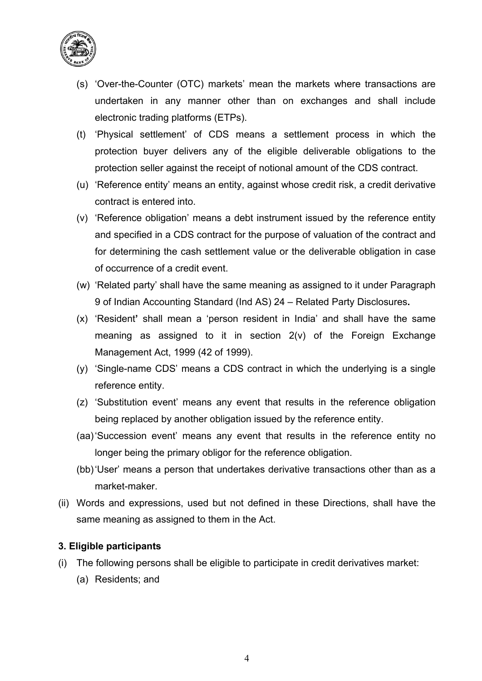

- (s) 'Over-the-Counter (OTC) markets' mean the markets where transactions are undertaken in any manner other than on exchanges and shall include electronic trading platforms (ETPs).
- (t) 'Physical settlement' of CDS means a settlement process in which the protection buyer delivers any of the eligible deliverable obligations to the protection seller against the receipt of notional amount of the CDS contract.
- (u) 'Reference entity' means an entity, against whose credit risk, a credit derivative contract is entered into.
- (v) 'Reference obligation' means a debt instrument issued by the reference entity and specified in a CDS contract for the purpose of valuation of the contract and for determining the cash settlement value or the deliverable obligation in case of occurrence of a credit event.
- (w) 'Related party' shall have the same meaning as assigned to it under Paragraph 9 of Indian Accounting Standard (Ind AS) 24 – Related Party Disclosures**.**
- (x) 'Resident**'** shall mean a 'person resident in India' and shall have the same meaning as assigned to it in section 2(v) of the Foreign Exchange Management Act, 1999 (42 of 1999).
- (y) 'Single-name CDS' means a CDS contract in which the underlying is a single reference entity.
- (z) 'Substitution event' means any event that results in the reference obligation being replaced by another obligation issued by the reference entity.
- (aa)'Succession event' means any event that results in the reference entity no longer being the primary obligor for the reference obligation.
- (bb)'User' means a person that undertakes derivative transactions other than as a market-maker.
- (ii) Words and expressions, used but not defined in these Directions, shall have the same meaning as assigned to them in the Act.

# **3. Eligible participants**

- (i) The following persons shall be eligible to participate in credit derivatives market:
	- (a) Residents; and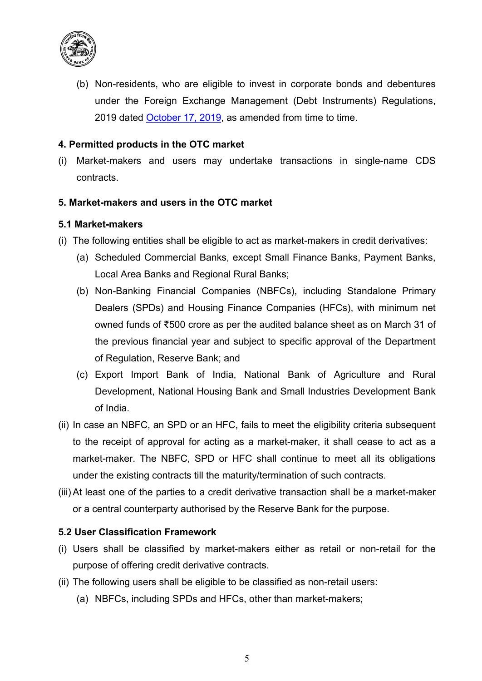

(b) Non-residents, who are eligible to invest in corporate bonds and debentures under the Foreign Exchange Management (Debt Instruments) Regulations, 2019 dated [October 17, 2019,](https://www.rbi.org.in/Scripts/NotificationUser.aspx?Id=12099&Mode=0) as amended from time to time.

#### **4. Permitted products in the OTC market**

(i) Market-makers and users may undertake transactions in single-name CDS contracts.

#### **5. Market-makers and users in the OTC market**

#### **5.1 Market-makers**

- (i) The following entities shall be eligible to act as market-makers in credit derivatives:
	- (a) Scheduled Commercial Banks, except Small Finance Banks, Payment Banks, Local Area Banks and Regional Rural Banks;
	- (b) Non-Banking Financial Companies (NBFCs), including Standalone Primary Dealers (SPDs) and Housing Finance Companies (HFCs), with minimum net owned funds of ₹500 crore as per the audited balance sheet as on March 31 of the previous financial year and subject to specific approval of the Department of Regulation, Reserve Bank; and
	- (c) Export Import Bank of India, National Bank of Agriculture and Rural Development, National Housing Bank and Small Industries Development Bank of India.
- (ii) In case an NBFC, an SPD or an HFC, fails to meet the eligibility criteria subsequent to the receipt of approval for acting as a market-maker, it shall cease to act as a market-maker. The NBFC, SPD or HFC shall continue to meet all its obligations under the existing contracts till the maturity/termination of such contracts.
- (iii) At least one of the parties to a credit derivative transaction shall be a market-maker or a central counterparty authorised by the Reserve Bank for the purpose.

#### **5.2 User Classification Framework**

- (i) Users shall be classified by market-makers either as retail or non-retail for the purpose of offering credit derivative contracts.
- (ii) The following users shall be eligible to be classified as non-retail users:
	- (a) NBFCs, including SPDs and HFCs, other than market-makers;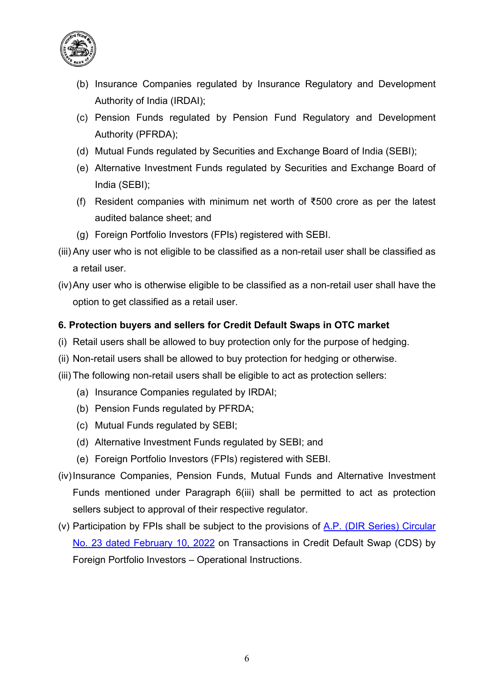

- (b) Insurance Companies regulated by Insurance Regulatory and Development Authority of India (IRDAI);
- (c) Pension Funds regulated by Pension Fund Regulatory and Development Authority (PFRDA);
- (d) Mutual Funds regulated by Securities and Exchange Board of India (SEBI);
- (e) Alternative Investment Funds regulated by Securities and Exchange Board of India (SEBI);
- (f) Resident companies with minimum net worth of ₹500 crore as per the latest audited balance sheet; and
- (g) Foreign Portfolio Investors (FPIs) registered with SEBI.
- (iii) Any user who is not eligible to be classified as a non-retail user shall be classified as a retail user.
- (iv)Any user who is otherwise eligible to be classified as a non-retail user shall have the option to get classified as a retail user.

# **6. Protection buyers and sellers for Credit Default Swaps in OTC market**

- (i) Retail users shall be allowed to buy protection only for the purpose of hedging.
- (ii) Non-retail users shall be allowed to buy protection for hedging or otherwise.
- (iii) The following non-retail users shall be eligible to act as protection sellers:
	- (a) Insurance Companies regulated by IRDAI;
	- (b) Pension Funds regulated by PFRDA;
	- (c) Mutual Funds regulated by SEBI;
	- (d) Alternative Investment Funds regulated by SEBI; and
	- (e) Foreign Portfolio Investors (FPIs) registered with SEBI.
- (iv)Insurance Companies, Pension Funds, Mutual Funds and Alternative Investment Funds mentioned under Paragraph 6(iii) shall be permitted to act as protection sellers subject to approval of their respective regulator.
- (v) Participation by FPIs shall be subject to the provisions of  $A.P.$  (DIR Series) Circular No. 23 [dated February](https://www.rbi.org.in/Scripts/NotificationUser.aspx?Id=12227&Mode=0) 10, 2022 on Transactions in Credit Default Swap (CDS) by Foreign Portfolio Investors – Operational Instructions.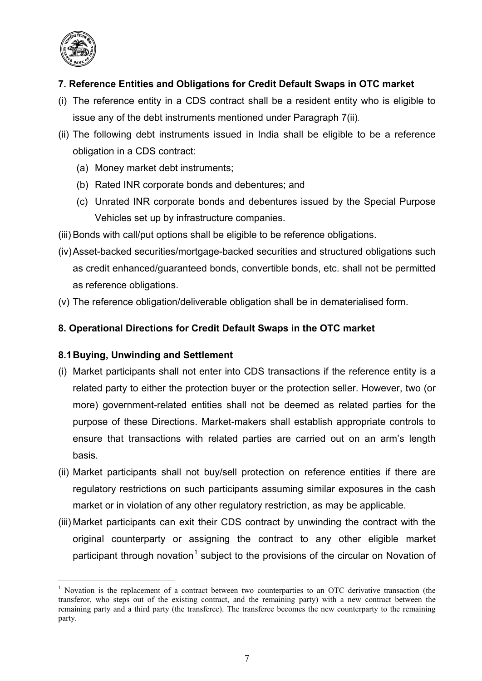

# **7. Reference Entities and Obligations for Credit Default Swaps in OTC market**

- (i) The reference entity in a CDS contract shall be a resident entity who is eligible to issue any of the debt instruments mentioned under Paragraph 7(ii).
- (ii) The following debt instruments issued in India shall be eligible to be a reference obligation in a CDS contract:
	- (a) Money market debt instruments;
	- (b) Rated INR corporate bonds and debentures; and
	- (c) Unrated INR corporate bonds and debentures issued by the Special Purpose Vehicles set up by infrastructure companies.
- (iii) Bonds with call/put options shall be eligible to be reference obligations.
- (iv)Asset-backed securities/mortgage-backed securities and structured obligations such as credit enhanced/guaranteed bonds, convertible bonds, etc. shall not be permitted as reference obligations.
- (v) The reference obligation/deliverable obligation shall be in dematerialised form.

# **8. Operational Directions for Credit Default Swaps in the OTC market**

# **8.1Buying, Unwinding and Settlement**

- (i) Market participants shall not enter into CDS transactions if the reference entity is a related party to either the protection buyer or the protection seller. However, two (or more) government-related entities shall not be deemed as related parties for the purpose of these Directions. Market-makers shall establish appropriate controls to ensure that transactions with related parties are carried out on an arm's length basis.
- (ii) Market participants shall not buy/sell protection on reference entities if there are regulatory restrictions on such participants assuming similar exposures in the cash market or in violation of any other regulatory restriction, as may be applicable.
- (iii) Market participants can exit their CDS contract by unwinding the contract with the original counterparty or assigning the contract to any other eligible market participant through novation<sup>[1](#page-7-0)</sup> subject to the provisions of the circular on Novation of

<span id="page-7-0"></span> $1$  Novation is the replacement of a contract between two counterparties to an OTC derivative transaction (the transferor, who steps out of the existing contract, and the remaining party) with a new contract between the remaining party and a third party (the transferee). The transferee becomes the new counterparty to the remaining party.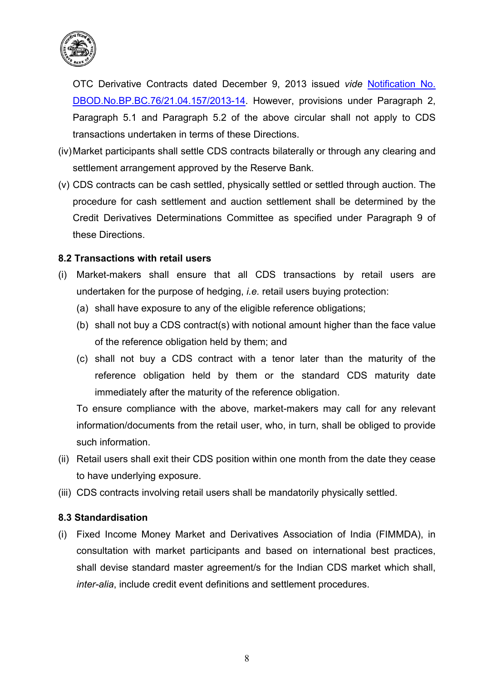

OTC Derivative Contracts dated December 9, 2013 issued *vide* [Notification No.](https://www.rbi.org.in/Scripts/NotificationUser.aspx?Id=8626&Mode=0)  [DBOD.No.BP.BC.76/21.04.157/2013-14.](https://www.rbi.org.in/Scripts/NotificationUser.aspx?Id=8626&Mode=0) However, provisions under Paragraph 2, Paragraph 5.1 and Paragraph 5.2 of the above circular shall not apply to CDS transactions undertaken in terms of these Directions.

- (iv)Market participants shall settle CDS contracts bilaterally or through any clearing and settlement arrangement approved by the Reserve Bank.
- (v) CDS contracts can be cash settled, physically settled or settled through auction. The procedure for cash settlement and auction settlement shall be determined by the Credit Derivatives Determinations Committee as specified under Paragraph 9 of these Directions.

#### **8.2 Transactions with retail users**

- (i) Market-makers shall ensure that all CDS transactions by retail users are undertaken for the purpose of hedging, *i.e.* retail users buying protection:
	- (a) shall have exposure to any of the eligible reference obligations;
	- (b) shall not buy a CDS contract(s) with notional amount higher than the face value of the reference obligation held by them; and
	- (c) shall not buy a CDS contract with a tenor later than the maturity of the reference obligation held by them or the standard CDS maturity date immediately after the maturity of the reference obligation.

To ensure compliance with the above, market-makers may call for any relevant information/documents from the retail user, who, in turn, shall be obliged to provide such information.

- (ii) Retail users shall exit their CDS position within one month from the date they cease to have underlying exposure.
- (iii) CDS contracts involving retail users shall be mandatorily physically settled.

#### **8.3 Standardisation**

(i) Fixed Income Money Market and Derivatives Association of India (FIMMDA), in consultation with market participants and based on international best practices, shall devise standard master agreement/s for the Indian CDS market which shall, *inter-alia*, include credit event definitions and settlement procedures.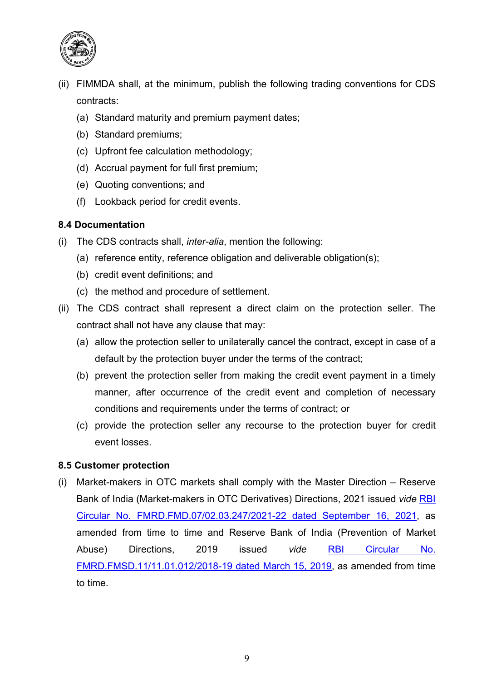

- (ii) FIMMDA shall, at the minimum, publish the following trading conventions for CDS contracts:
	- (a) Standard maturity and premium payment dates;
	- (b) Standard premiums;
	- (c) Upfront fee calculation methodology;
	- (d) Accrual payment for full first premium;
	- (e) Quoting conventions; and
	- (f) Lookback period for credit events.

# **8.4 Documentation**

- (i) The CDS contracts shall, *inter-alia*, mention the following:
	- (a) reference entity, reference obligation and deliverable obligation(s);
	- (b) credit event definitions; and
	- (c) the method and procedure of settlement.
- (ii) The CDS contract shall represent a direct claim on the protection seller. The contract shall not have any clause that may:
	- (a) allow the protection seller to unilaterally cancel the contract, except in case of a default by the protection buyer under the terms of the contract;
	- (b) prevent the protection seller from making the credit event payment in a timely manner, after occurrence of the credit event and completion of necessary conditions and requirements under the terms of contract; or
	- (c) provide the protection seller any recourse to the protection buyer for credit event losses.

# **8.5 Customer protection**

(i) Market-makers in OTC markets shall comply with the Master Direction – Reserve Bank of India (Market-makers in OTC Derivatives) Directions, 2021 issued *vide* [RBI](https://www.rbi.org.in/Scripts/BS_ViewMasDirections.aspx?id=12163)  [Circular No. FMRD.FMD.07/02.03.247/2021-22 dated September 16, 2021,](https://www.rbi.org.in/Scripts/BS_ViewMasDirections.aspx?id=12163) as amended from time to time and Reserve Bank of India (Prevention of Market Abuse) Directions, 2019 issued *vide* [RBI Circular No.](https://www.rbi.org.in/Scripts/NotificationUser.aspx?Id=11500&Mode=0)  [FMRD.FMSD.11/11.01.012/2018-19 dated March 15, 2019,](https://www.rbi.org.in/Scripts/NotificationUser.aspx?Id=11500&Mode=0) as amended from time to time.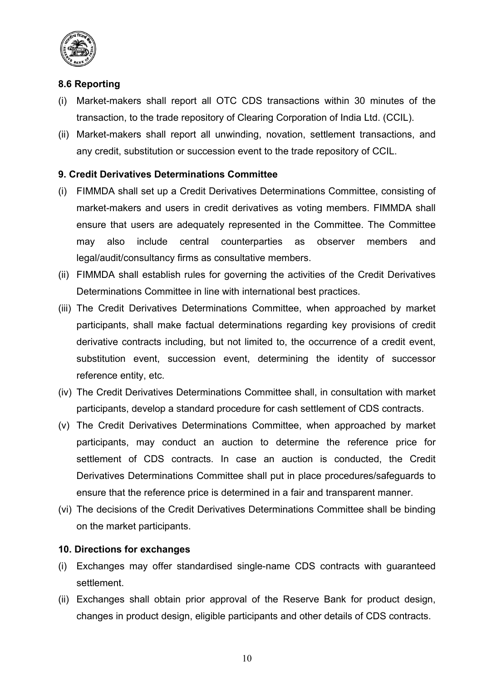

# **8.6 Reporting**

- (i) Market-makers shall report all OTC CDS transactions within 30 minutes of the transaction, to the trade repository of Clearing Corporation of India Ltd. (CCIL).
- (ii) Market-makers shall report all unwinding, novation, settlement transactions, and any credit, substitution or succession event to the trade repository of CCIL.

# **9. Credit Derivatives Determinations Committee**

- (i) FIMMDA shall set up a Credit Derivatives Determinations Committee, consisting of market-makers and users in credit derivatives as voting members. FIMMDA shall ensure that users are adequately represented in the Committee. The Committee may also include central counterparties as observer members and legal/audit/consultancy firms as consultative members.
- (ii) FIMMDA shall establish rules for governing the activities of the Credit Derivatives Determinations Committee in line with international best practices.
- (iii) The Credit Derivatives Determinations Committee, when approached by market participants, shall make factual determinations regarding key provisions of credit derivative contracts including, but not limited to, the occurrence of a credit event, substitution event, succession event, determining the identity of successor reference entity, etc.
- (iv) The Credit Derivatives Determinations Committee shall, in consultation with market participants, develop a standard procedure for cash settlement of CDS contracts.
- (v) The Credit Derivatives Determinations Committee, when approached by market participants, may conduct an auction to determine the reference price for settlement of CDS contracts. In case an auction is conducted, the Credit Derivatives Determinations Committee shall put in place procedures/safeguards to ensure that the reference price is determined in a fair and transparent manner.
- (vi) The decisions of the Credit Derivatives Determinations Committee shall be binding on the market participants.

#### **10. Directions for exchanges**

- (i) Exchanges may offer standardised single-name CDS contracts with guaranteed settlement.
- (ii) Exchanges shall obtain prior approval of the Reserve Bank for product design, changes in product design, eligible participants and other details of CDS contracts.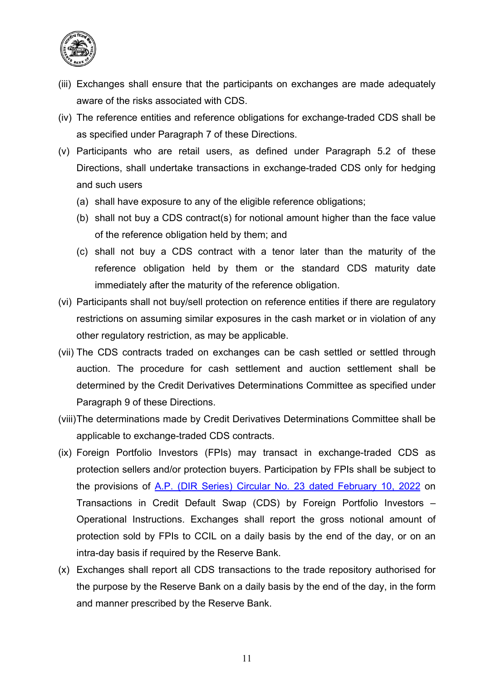

- (iii) Exchanges shall ensure that the participants on exchanges are made adequately aware of the risks associated with CDS.
- (iv) The reference entities and reference obligations for exchange-traded CDS shall be as specified under Paragraph 7 of these Directions.
- (v) Participants who are retail users, as defined under Paragraph 5.2 of these Directions, shall undertake transactions in exchange-traded CDS only for hedging and such users
	- (a) shall have exposure to any of the eligible reference obligations;
	- (b) shall not buy a CDS contract(s) for notional amount higher than the face value of the reference obligation held by them; and
	- (c) shall not buy a CDS contract with a tenor later than the maturity of the reference obligation held by them or the standard CDS maturity date immediately after the maturity of the reference obligation.
- (vi) Participants shall not buy/sell protection on reference entities if there are regulatory restrictions on assuming similar exposures in the cash market or in violation of any other regulatory restriction, as may be applicable.
- (vii) The CDS contracts traded on exchanges can be cash settled or settled through auction. The procedure for cash settlement and auction settlement shall be determined by the Credit Derivatives Determinations Committee as specified under Paragraph 9 of these Directions.
- (viii)The determinations made by Credit Derivatives Determinations Committee shall be applicable to exchange-traded CDS contracts.
- (ix) Foreign Portfolio Investors (FPIs) may transact in exchange-traded CDS as protection sellers and/or protection buyers. Participation by FPIs shall be subject to the provisions of [A.P. \(DIR Series\) Circular No. 23](https://rbi.org.in/Scripts/NotificationUser.aspx?Id=12227&Mode=0) dated February 10, 2022 on Transactions in Credit Default Swap (CDS) by Foreign Portfolio Investors – Operational Instructions. Exchanges shall report the gross notional amount of protection sold by FPIs to CCIL on a daily basis by the end of the day, or on an intra-day basis if required by the Reserve Bank.
- (x) Exchanges shall report all CDS transactions to the trade repository authorised for the purpose by the Reserve Bank on a daily basis by the end of the day, in the form and manner prescribed by the Reserve Bank.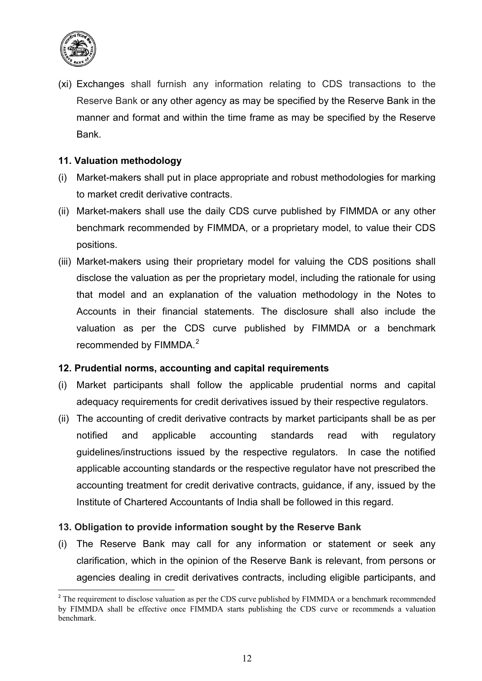

(xi) Exchanges shall furnish any information relating to CDS transactions to the Reserve Bank or any other agency as may be specified by the Reserve Bank in the manner and format and within the time frame as may be specified by the Reserve Bank.

# **11. Valuation methodology**

- (i) Market-makers shall put in place appropriate and robust methodologies for marking to market credit derivative contracts.
- (ii) Market-makers shall use the daily CDS curve published by FIMMDA or any other benchmark recommended by FIMMDA, or a proprietary model, to value their CDS positions.
- (iii) Market-makers using their proprietary model for valuing the CDS positions shall disclose the valuation as per the proprietary model, including the rationale for using that model and an explanation of the valuation methodology in the Notes to Accounts in their financial statements. The disclosure shall also include the valuation as per the CDS curve published by FIMMDA or a benchmark recommended by FIMMDA. $^{\rm 2}$  $^{\rm 2}$  $^{\rm 2}$

# **12. Prudential norms, accounting and capital requirements**

- (i) Market participants shall follow the applicable prudential norms and capital adequacy requirements for credit derivatives issued by their respective regulators.
- (ii) The accounting of credit derivative contracts by market participants shall be as per notified and applicable accounting standards read with regulatory guidelines/instructions issued by the respective regulators. In case the notified applicable accounting standards or the respective regulator have not prescribed the accounting treatment for credit derivative contracts, guidance, if any, issued by the Institute of Chartered Accountants of India shall be followed in this regard.

# **13. Obligation to provide information sought by the Reserve Bank**

(i) The Reserve Bank may call for any information or statement or seek any clarification, which in the opinion of the Reserve Bank is relevant, from persons or agencies dealing in credit derivatives contracts, including eligible participants, and

<span id="page-12-0"></span><sup>&</sup>lt;sup>2</sup> The requirement to disclose valuation as per the CDS curve published by FIMMDA or a benchmark recommended by FIMMDA shall be effective once FIMMDA starts publishing the CDS curve or recommends a valuation benchmark.